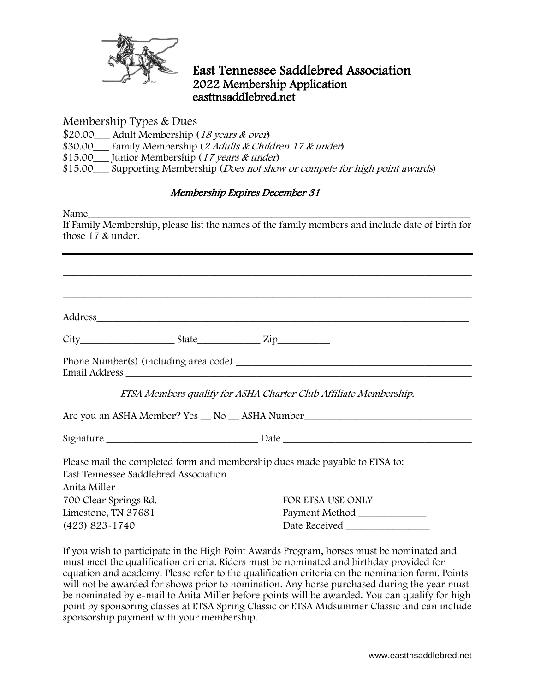

## East Tennessee Saddlebred Association 2022 Membership Application easttnsaddlebred.net

Membership Types & Dues

\$20.00 Adult Membership (18 years & over)

\$30.00\_\_\_ Family Membership (2 Adults & Children 17 & under)

\$15.00 Junior Membership (17 years & under)

\$15.00\_\_\_ Supporting Membership (*Does not show or compete for high point awards*)

## Membership Expires December 31

Name\_\_\_\_\_\_\_\_\_\_\_\_\_\_\_\_\_\_\_\_\_\_\_\_\_\_\_\_\_\_\_\_\_\_\_\_\_\_\_\_\_\_\_\_\_\_\_\_\_\_\_\_\_\_\_\_\_\_\_\_\_\_\_\_\_\_\_\_\_\_\_\_\_ If Family Membership, please list the names of the family members and include date of birth for those 17 & under.

\_\_\_\_\_\_\_\_\_\_\_\_\_\_\_\_\_\_\_\_\_\_\_\_\_\_\_\_\_\_\_\_\_\_\_\_\_\_\_\_\_\_\_\_\_\_\_\_\_\_\_\_\_\_\_\_\_\_\_\_\_\_\_\_\_\_\_\_\_\_\_\_\_\_\_\_\_\_

\_\_\_\_\_\_\_\_\_\_\_\_\_\_\_\_\_\_\_\_\_\_\_\_\_\_\_\_\_\_\_\_\_\_\_\_\_\_\_\_\_\_\_\_\_\_\_\_\_\_\_\_\_\_\_\_\_\_\_\_\_\_\_\_\_\_\_\_\_\_\_\_\_\_\_\_\_\_

Address and the contract of the contract of the contract of the contract of the contract of the contract of the contract of the contract of the contract of the contract of the contract of the contract of the contract of th

| <b>⌒'</b><br>.<br>CIT) | ਾ ਦਾ ਪਾ | $\sim$ 1 $\sim$<br>au | $\sim$ $\sim$ $\sim$<br>. . |
|------------------------|---------|-----------------------|-----------------------------|
|                        |         |                       |                             |

Phone Number(s) (including area code) \_\_\_\_\_\_\_\_\_\_\_\_\_\_\_\_\_\_\_\_\_\_\_\_\_\_\_\_\_\_\_\_\_\_\_\_\_\_\_\_\_\_\_\_\_ Email Address \_\_\_\_\_\_\_\_\_\_\_\_\_\_\_\_\_\_\_\_\_\_\_\_\_\_\_\_\_\_\_\_\_\_\_\_\_\_\_\_\_\_\_\_\_\_\_\_\_\_\_\_\_\_\_\_\_\_\_\_\_\_\_\_\_\_

ETSA Members qualify for ASHA Charter Club Affiliate Membership.

Are you an ASHA Member? Yes \_\_ No \_\_ ASHA Number\_\_\_\_\_\_\_\_\_\_\_\_\_\_\_\_\_\_\_\_\_\_\_\_\_\_\_\_\_\_\_\_

Signature \_\_\_\_\_\_\_\_\_\_\_\_\_\_\_\_\_\_\_\_\_\_\_\_\_\_\_\_\_ Date \_\_\_\_\_\_\_\_\_\_\_\_\_\_\_\_\_\_\_\_\_\_\_\_\_\_\_\_\_\_\_\_\_\_\_\_

Please mail the completed form and membership dues made payable to ETSA to: East Tennessee Saddlebred Association Anita Miller 700 Clear Springs Rd. FOR ETSA USE ONLY

Limestone, TN 37681 (423) 823-1740

Payment Method \_\_\_\_\_\_\_\_\_\_\_\_\_ Date Received

If you wish to participate in the High Point Awards Program, horses must be nominated and must meet the qualification criteria. Riders must be nominated and birthday provided for equation and academy. Please refer to the qualification criteria on the nomination form. Points will not be awarded for shows prior to nomination. Any horse purchased during the year must be nominated by e-mail to Anita Miller before points will be awarded. You can qualify for high point by sponsoring classes at ETSA Spring Classic or ETSA Midsummer Classic and can include sponsorship payment with your membership.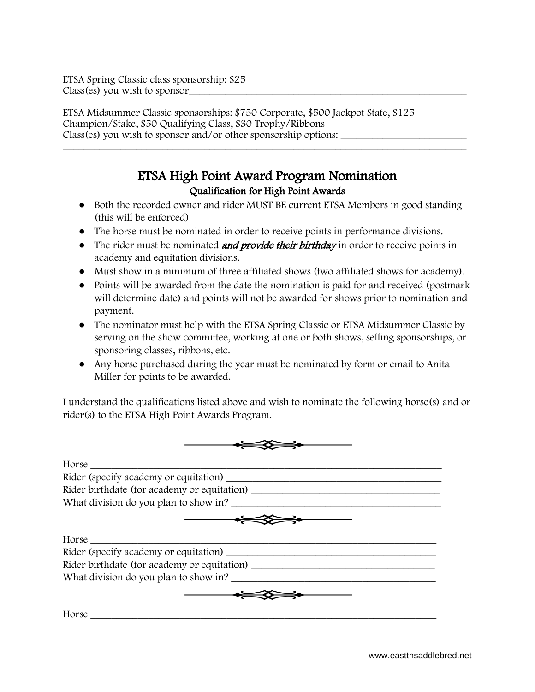ETSA Spring Classic class sponsorship: \$25 Class(es) you wish to sponsor

ETSA Midsummer Classic sponsorships: \$750 Corporate, \$500 Jackpot State, \$125 Champion/Stake, \$50 Qualifying Class, \$30 Trophy/Ribbons Class(es) you wish to sponsor and/or other sponsorship options:

## ETSA High Point Award Program Nomination Qualification for High Point Awards

\_\_\_\_\_\_\_\_\_\_\_\_\_\_\_\_\_\_\_\_\_\_\_\_\_\_\_\_\_\_\_\_\_\_\_\_\_\_\_\_\_\_\_\_\_\_\_\_\_\_\_\_\_\_\_\_\_\_\_\_\_\_\_\_\_\_\_\_\_\_\_\_\_\_\_\_\_

- Both the recorded owner and rider MUST BE current ETSA Members in good standing (this will be enforced)
- The horse must be nominated in order to receive points in performance divisions.
- The rider must be nominated *and provide their birthday* in order to receive points in academy and equitation divisions.
- Must show in a minimum of three affiliated shows (two affiliated shows for academy).
- Points will be awarded from the date the nomination is paid for and received (postmark will determine date) and points will not be awarded for shows prior to nomination and payment.
- The nominator must help with the ETSA Spring Classic or ETSA Midsummer Classic by serving on the show committee, working at one or both shows, selling sponsorships, or sponsoring classes, ribbons, etc.
- Any horse purchased during the year must be nominated by form or email to Anita Miller for points to be awarded.

I understand the qualifications listed above and wish to nominate the following horse(s) and or rider(s) to the ETSA High Point Awards Program.

| Horse                                 |
|---------------------------------------|
|                                       |
|                                       |
| What division do you plan to show in? |
| Horse                                 |
|                                       |
|                                       |
| What division do you plan to show in? |
|                                       |
| Horse                                 |